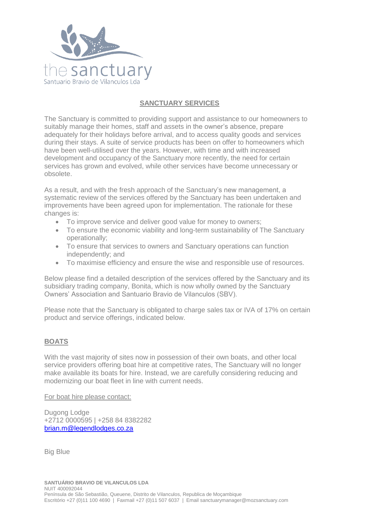

# **SANCTUARY SERVICES**

The Sanctuary is committed to providing support and assistance to our homeowners to suitably manage their homes, staff and assets in the owner's absence, prepare adequately for their holidays before arrival, and to access quality goods and services during their stays. A suite of service products has been on offer to homeowners which have been well-utilised over the years. However, with time and with increased development and occupancy of the Sanctuary more recently, the need for certain services has grown and evolved, while other services have become unnecessary or obsolete.

As a result, and with the fresh approach of the Sanctuary's new management, a systematic review of the services offered by the Sanctuary has been undertaken and improvements have been agreed upon for implementation. The rationale for these changes is:

- To improve service and deliver good value for money to owners;
- To ensure the economic viability and long-term sustainability of The Sanctuary operationally;
- To ensure that services to owners and Sanctuary operations can function independently; and
- To maximise efficiency and ensure the wise and responsible use of resources.

Below please find a detailed description of the services offered by the Sanctuary and its subsidiary trading company, Bonita, which is now wholly owned by the Sanctuary Owners' Association and Santuario Bravio de Vilanculos (SBV).

Please note that the Sanctuary is obligated to charge sales tax or IVA of 17% on certain product and service offerings, indicated below.

## **BOATS**

With the vast majority of sites now in possession of their own boats, and other local service providers offering boat hire at competitive rates, The Sanctuary will no longer make available its boats for hire. Instead, we are carefully considering reducing and modernizing our boat fleet in line with current needs.

For boat hire please contact:

Dugong Lodge +2712 0000595 | +258 84 8382282 [brian.m@legendlodges.co.za](mailto:brian.m@legendlodges.co.za)

Big Blue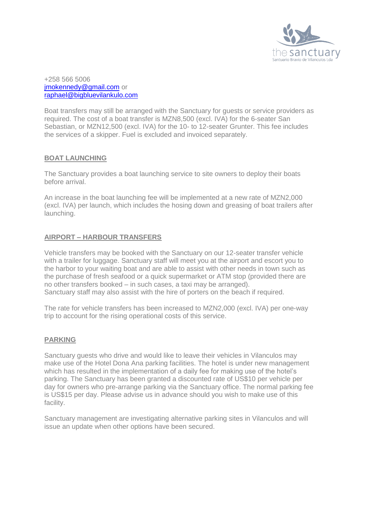

+258 566 5006 imokennedy@gmail.com or [raphael@bigbluevilankulo.com](mailto:raphael@bigbluevilankulo.com)

Boat transfers may still be arranged with the Sanctuary for guests or service providers as required. The cost of a boat transfer is MZN8,500 (excl. IVA) for the 6-seater San Sebastian, or MZN12,500 (excl. IVA) for the 10- to 12-seater Grunter. This fee includes the services of a skipper. Fuel is excluded and invoiced separately.

## **BOAT LAUNCHING**

The Sanctuary provides a boat launching service to site owners to deploy their boats before arrival.

An increase in the boat launching fee will be implemented at a new rate of MZN2,000 (excl. IVA) per launch, which includes the hosing down and greasing of boat trailers after launching.

## **AIRPORT – HARBOUR TRANSFERS**

Vehicle transfers may be booked with the Sanctuary on our 12-seater transfer vehicle with a trailer for luggage. Sanctuary staff will meet you at the airport and escort you to the harbor to your waiting boat and are able to assist with other needs in town such as the purchase of fresh seafood or a quick supermarket or ATM stop (provided there are no other transfers booked – in such cases, a taxi may be arranged). Sanctuary staff may also assist with the hire of porters on the beach if required.

The rate for vehicle transfers has been increased to MZN2,000 (excl. IVA) per one-way trip to account for the rising operational costs of this service.

#### **PARKING**

Sanctuary guests who drive and would like to leave their vehicles in Vilanculos may make use of the Hotel Dona Ana parking facilities. The hotel is under new management which has resulted in the implementation of a daily fee for making use of the hotel's parking. The Sanctuary has been granted a discounted rate of US\$10 per vehicle per day for owners who pre-arrange parking via the Sanctuary office. The normal parking fee is US\$15 per day. Please advise us in advance should you wish to make use of this facility.

Sanctuary management are investigating alternative parking sites in Vilanculos and will issue an update when other options have been secured.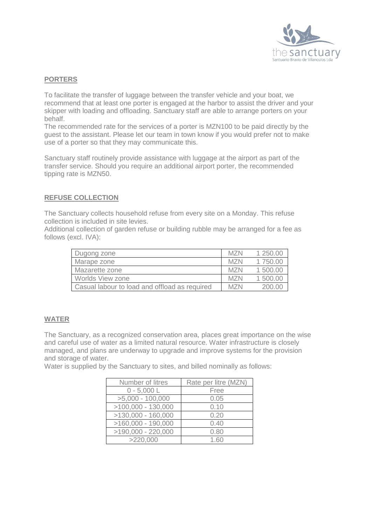

## **PORTERS**

To facilitate the transfer of luggage between the transfer vehicle and your boat, we recommend that at least one porter is engaged at the harbor to assist the driver and your skipper with loading and offloading. Sanctuary staff are able to arrange porters on your behalf.

The recommended rate for the services of a porter is MZN100 to be paid directly by the guest to the assistant. Please let our team in town know if you would prefer not to make use of a porter so that they may communicate this.

Sanctuary staff routinely provide assistance with luggage at the airport as part of the transfer service. Should you require an additional airport porter, the recommended tipping rate is MZN50.

#### **REFUSE COLLECTION**

The Sanctuary collects household refuse from every site on a Monday. This refuse collection is included in site levies.

Additional collection of garden refuse or building rubble may be arranged for a fee as follows (excl. IVA):

| Dugong zone                                   | MZN | 1,250,00 |
|-----------------------------------------------|-----|----------|
| Marape zone                                   | MZN | 1 750.00 |
| Mazarette zone                                | MZN | 1500.00  |
| Worlds View zone                              | M7N | 1500.00  |
| Casual labour to load and offload as required | MZN | 200 OC   |

#### **WATER**

The Sanctuary, as a recognized conservation area, places great importance on the wise and careful use of water as a limited natural resource. Water infrastructure is closely managed, and plans are underway to upgrade and improve systems for the provision and storage of water.

Water is supplied by the Sanctuary to sites, and billed nominally as follows:

| Number of litres     | Rate per litre (MZN) |
|----------------------|----------------------|
| $0 - 5,000 L$        | Free                 |
| $>5,000 - 100,000$   | 0.05                 |
| $>100,000 - 130,000$ | 0.10                 |
| $>130,000 - 160,000$ | 0.20                 |
| $>160,000 - 190,000$ | 0.40                 |
| $>190,000 - 220,000$ | 0.80                 |
| >220,000             | 1.60                 |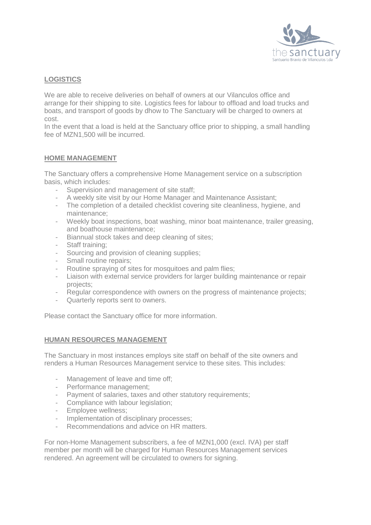

# **LOGISTICS**

We are able to receive deliveries on behalf of owners at our Vilanculos office and arrange for their shipping to site. Logistics fees for labour to offload and load trucks and boats, and transport of goods by dhow to The Sanctuary will be charged to owners at cost.

In the event that a load is held at the Sanctuary office prior to shipping, a small handling fee of MZN1,500 will be incurred.

#### **HOME MANAGEMENT**

The Sanctuary offers a comprehensive Home Management service on a subscription basis, which includes:

- Supervision and management of site staff;
- A weekly site visit by our Home Manager and Maintenance Assistant;
- The completion of a detailed checklist covering site cleanliness, hygiene, and maintenance;
- Weekly boat inspections, boat washing, minor boat maintenance, trailer greasing, and boathouse maintenance;
- Biannual stock takes and deep cleaning of sites;
- Staff training:
- Sourcing and provision of cleaning supplies;
- Small routine repairs;
- Routine spraying of sites for mosquitoes and palm flies;
- Liaison with external service providers for larger building maintenance or repair projects;
- Regular correspondence with owners on the progress of maintenance projects;
- Quarterly reports sent to owners.

Please contact the Sanctuary office for more information.

#### **HUMAN RESOURCES MANAGEMENT**

The Sanctuary in most instances employs site staff on behalf of the site owners and renders a Human Resources Management service to these sites. This includes:

- Management of leave and time off;
- Performance management;
- Payment of salaries, taxes and other statutory requirements;
- Compliance with labour legislation;
- Employee wellness;
- Implementation of disciplinary processes;
- Recommendations and advice on HR matters.

For non-Home Management subscribers, a fee of MZN1,000 (excl. IVA) per staff member per month will be charged for Human Resources Management services rendered. An agreement will be circulated to owners for signing.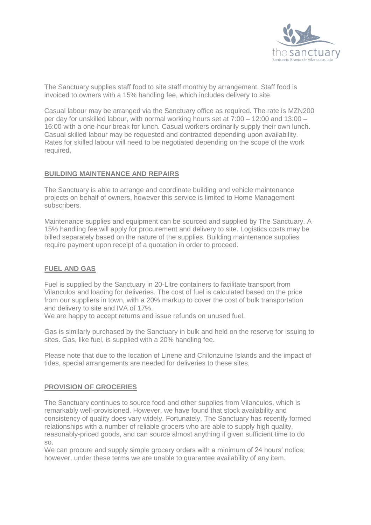

The Sanctuary supplies staff food to site staff monthly by arrangement. Staff food is invoiced to owners with a 15% handling fee, which includes delivery to site.

Casual labour may be arranged via the Sanctuary office as required. The rate is MZN200 per day for unskilled labour, with normal working hours set at 7:00 – 12:00 and 13:00 – 16:00 with a one-hour break for lunch. Casual workers ordinarily supply their own lunch. Casual skilled labour may be requested and contracted depending upon availability. Rates for skilled labour will need to be negotiated depending on the scope of the work required.

#### **BUILDING MAINTENANCE AND REPAIRS**

The Sanctuary is able to arrange and coordinate building and vehicle maintenance projects on behalf of owners, however this service is limited to Home Management subscribers.

Maintenance supplies and equipment can be sourced and supplied by The Sanctuary. A 15% handling fee will apply for procurement and delivery to site. Logistics costs may be billed separately based on the nature of the supplies. Building maintenance supplies require payment upon receipt of a quotation in order to proceed.

## **FUEL AND GAS**

Fuel is supplied by the Sanctuary in 20-Litre containers to facilitate transport from Vilanculos and loading for deliveries. The cost of fuel is calculated based on the price from our suppliers in town, with a 20% markup to cover the cost of bulk transportation and delivery to site and IVA of 17%.

We are happy to accept returns and issue refunds on unused fuel.

Gas is similarly purchased by the Sanctuary in bulk and held on the reserve for issuing to sites. Gas, like fuel, is supplied with a 20% handling fee.

Please note that due to the location of Linene and Chilonzuine Islands and the impact of tides, special arrangements are needed for deliveries to these sites.

#### **PROVISION OF GROCERIES**

The Sanctuary continues to source food and other supplies from Vilanculos, which is remarkably well-provisioned. However, we have found that stock availability and consistency of quality does vary widely. Fortunately, The Sanctuary has recently formed relationships with a number of reliable grocers who are able to supply high quality, reasonably-priced goods, and can source almost anything if given sufficient time to do so.

We can procure and supply simple grocery orders with a minimum of 24 hours' notice; however, under these terms we are unable to guarantee availability of any item.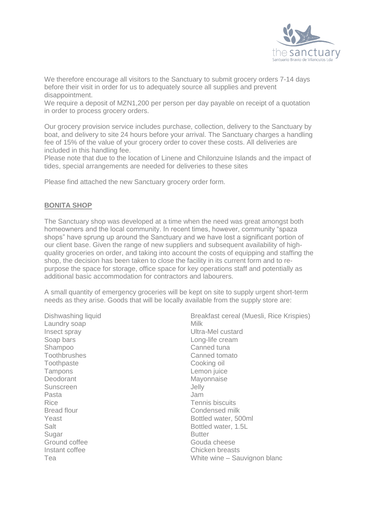

We therefore encourage all visitors to the Sanctuary to submit grocery orders 7-14 days before their visit in order for us to adequately source all supplies and prevent disappointment.

We require a deposit of MZN1,200 per person per day payable on receipt of a quotation in order to process grocery orders.

Our grocery provision service includes purchase, collection, delivery to the Sanctuary by boat, and delivery to site 24 hours before your arrival. The Sanctuary charges a handling fee of 15% of the value of your grocery order to cover these costs. All deliveries are included in this handling fee.

Please note that due to the location of Linene and Chilonzuine Islands and the impact of tides, special arrangements are needed for deliveries to these sites

Please find attached the new Sanctuary grocery order form.

#### **BONITA SHOP**

The Sanctuary shop was developed at a time when the need was great amongst both homeowners and the local community. In recent times, however, community "spaza shops" have sprung up around the Sanctuary and we have lost a significant portion of our client base. Given the range of new suppliers and subsequent availability of highquality groceries on order, and taking into account the costs of equipping and staffing the shop, the decision has been taken to close the facility in its current form and to repurpose the space for storage, office space for key operations staff and potentially as additional basic accommodation for contractors and labourers.

A small quantity of emergency groceries will be kept on site to supply urgent short-term needs as they arise. Goods that will be locally available from the supply store are:

Dishwashing liquid Laundry soap Insect spray Soap bars Shampoo **Toothbrushes Toothpaste** Tampons Deodorant Sunscreen Pasta Rice Bread flour Yeast Salt **Sugar** Ground coffee Instant coffee Tea

Breakfast cereal (Muesli, Rice Krispies) Milk Ultra-Mel custard Long-life cream Canned tuna Canned tomato Cooking oil Lemon juice Mayonnaise Jelly Jam Tennis biscuits Condensed milk Bottled water, 500ml Bottled water, 1.5L Butter Gouda cheese Chicken breasts White wine – Sauvignon blanc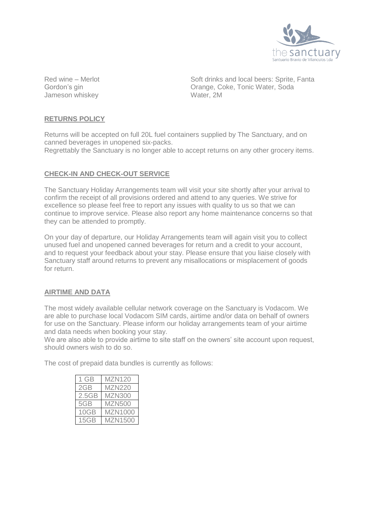

Red wine – Merlot Gordon's gin Jameson whiskey Soft drinks and local beers: Sprite, Fanta Orange, Coke, Tonic Water, Soda Water, 2M

#### **RETURNS POLICY**

Returns will be accepted on full 20L fuel containers supplied by The Sanctuary, and on canned beverages in unopened six-packs.

Regrettably the Sanctuary is no longer able to accept returns on any other grocery items.

#### **CHECK-IN AND CHECK-OUT SERVICE**

The Sanctuary Holiday Arrangements team will visit your site shortly after your arrival to confirm the receipt of all provisions ordered and attend to any queries. We strive for excellence so please feel free to report any issues with quality to us so that we can continue to improve service. Please also report any home maintenance concerns so that they can be attended to promptly.

On your day of departure, our Holiday Arrangements team will again visit you to collect unused fuel and unopened canned beverages for return and a credit to your account, and to request your feedback about your stay. Please ensure that you liaise closely with Sanctuary staff around returns to prevent any misallocations or misplacement of goods for return.

#### **AIRTIME AND DATA**

The most widely available cellular network coverage on the Sanctuary is Vodacom. We are able to purchase local Vodacom SIM cards, airtime and/or data on behalf of owners for use on the Sanctuary. Please inform our holiday arrangements team of your airtime and data needs when booking your stay.

We are also able to provide airtime to site staff on the owners' site account upon request. should owners wish to do so.

The cost of prepaid data bundles is currently as follows:

| 1 GB  | <b>MZN120</b>  |
|-------|----------------|
| 2GB   | <b>MZN220</b>  |
| 2.5GB | <b>MZN300</b>  |
| 5GB   | <b>MZN500</b>  |
| 10GB  | <b>MZN1000</b> |
| 15GB  | <b>MZN1500</b> |